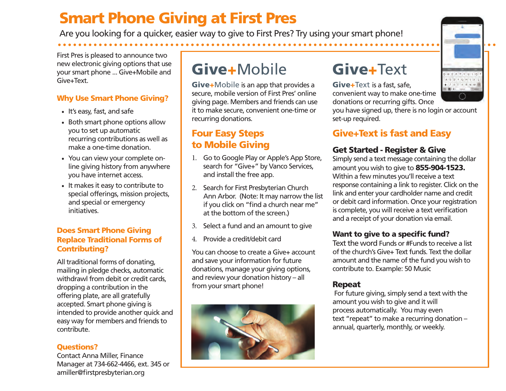# Smart Phone Giving at First Pres

Are you looking for a quicker, easier way to give to First Pres? Try using your smart phone!

First Pres is pleased to announce two new electronic giving options that use your smart phone ... Give+Mobile and Give+Text.

#### Why Use Smart Phone Giving?

- It's easy, fast, and safe
- Both smart phone options allow you to set up automatic recurring contributions as well as make a one-time donation.
- You can view your complete online giving history from anywhere you have internet access.
- It makes it easy to contribute to special offerings, mission projects, and special or emergency initiatives.

#### Does Smart Phone Giving Replace Traditional Forms of Contributing?

All traditional forms of donating, mailing in pledge checks, automatic withdrawl from debit or credit cards, dropping a contribution in the offering plate, are all gratefully accepted. Smart phone giving is intended to provide another quick and easy way for members and friends to contribute.

#### Questions?

Contact Anna Miller, Finance Manager at 734-662-4466, ext. 345 or amiller@firstpresbyterian.org

# Give+Mobile

Give+Mobile is an app that provides a secure, mobile version of First Pres' online giving page. Members and friends can use it to make secure, convenient one-time or recurring donations.

### Four Easy Steps to Mobile Giving

- 1. Go to Google Play or Apple's App Store, search for "Give+" by Vanco Services, and install the free app.
- 2. Search for First Presbyterian Church Ann Arbor. (Note: It may narrow the list if you click on "find a church near me" at the bottom of the screen.)
- 3. Select a fund and an amount to give
- 4. Provide a credit/debit card

You can choose to create a Give+ account and save your information for future donations, manage your giving options, and review your donation history – all from your smart phone!



# Give+Text

Give+Text is a fast, safe, convenient way to make one-time donations or recurring gifts. Once

you have signed up, there is no login or account set-up required.

## Give+Text is fast and Easy

### Get Started - Register & Give

Simply send a text message containing the dollar amount you wish to give to 855-904-1523. Within a few minutes you'll receive a text response containing a link to register. Click on the link and enter your cardholder name and credit or debit card information. Once your registration is complete, you will receive a text verification and a receipt of your donation via email.

### Want to give to a specific fund?

Text the word Funds or #Funds to receive a list of the church's Give+ Text funds. Text the dollar amount and the name of the fund you wish to contribute to. Example: 50 Music

### Repeat

 For future giving, simply send a text with the amount you wish to give and it will process automatically. You may even text "repeat" to make a recurring donation – annual, quarterly, monthly, or weekly.